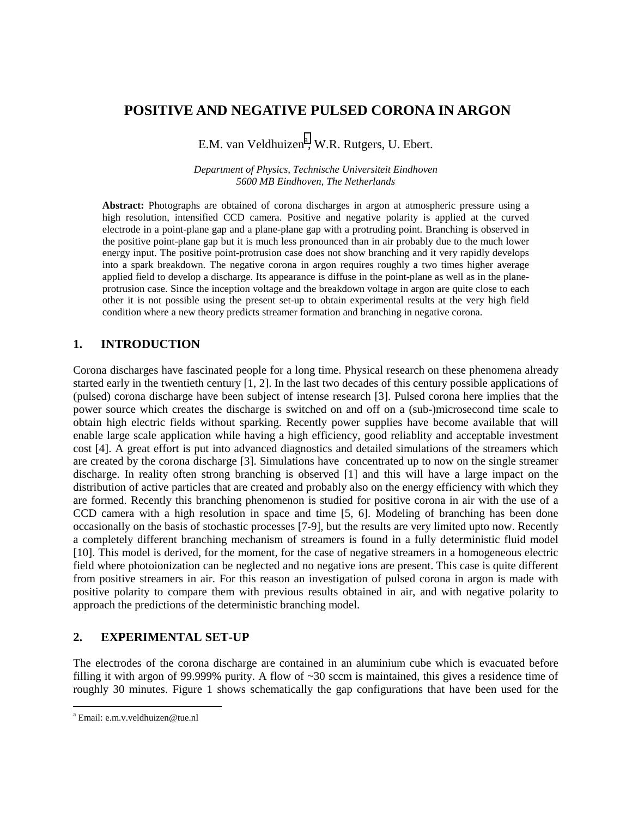# **POSITIVE AND NEGATIVE PULSED CORONA IN ARGON**

E.M. van Veldhuizen<sup>a</sup>, W.R. Rutgers, U. Ebert.

*Department of Physics, Technische Universiteit Eindhoven 5600 MB Eindhoven, The Netherlands* 

**Abstract:** Photographs are obtained of corona discharges in argon at atmospheric pressure using a high resolution, intensified CCD camera. Positive and negative polarity is applied at the curved electrode in a point-plane gap and a plane-plane gap with a protruding point. Branching is observed in the positive point-plane gap but it is much less pronounced than in air probably due to the much lower energy input. The positive point-protrusion case does not show branching and it very rapidly develops into a spark breakdown. The negative corona in argon requires roughly a two times higher average applied field to develop a discharge. Its appearance is diffuse in the point-plane as well as in the planeprotrusion case. Since the inception voltage and the breakdown voltage in argon are quite close to each other it is not possible using the present set-up to obtain experimental results at the very high field condition where a new theory predicts streamer formation and branching in negative corona.

## **1. INTRODUCTION**

Corona discharges have fascinated people for a long time. Physical research on these phenomena already started early in the twentieth century [1, 2]. In the last two decades of this century possible applications of (pulsed) corona discharge have been subject of intense research [3]. Pulsed corona here implies that the power source which creates the discharge is switched on and off on a (sub-)microsecond time scale to obtain high electric fields without sparking. Recently power supplies have become available that will enable large scale application while having a high efficiency, good reliablity and acceptable investment cost [4]. A great effort is put into advanced diagnostics and detailed simulations of the streamers which are created by the corona discharge [3]. Simulations have concentrated up to now on the single streamer discharge. In reality often strong branching is observed [1] and this will have a large impact on the distribution of active particles that are created and probably also on the energy efficiency with which they are formed. Recently this branching phenomenon is studied for positive corona in air with the use of a CCD camera with a high resolution in space and time [5, 6]. Modeling of branching has been done occasionally on the basis of stochastic processes [7-9], but the results are very limited upto now. Recently a completely different branching mechanism of streamers is found in a fully deterministic fluid model [10]. This model is derived, for the moment, for the case of negative streamers in a homogeneous electric field where photoionization can be neglected and no negative ions are present. This case is quite different from positive streamers in air. For this reason an investigation of pulsed corona in argon is made with positive polarity to compare them with previous results obtained in air, and with negative polarity to approach the predictions of the deterministic branching model.

### **2. EXPERIMENTAL SET-UP**

The electrodes of the corona discharge are contained in an aluminium cube which is evacuated before filling it with argon of 99.999% purity. A flow of  $\sim$ 30 sccm is maintained, this gives a residence time of roughly 30 minutes. Figure 1 shows schematically the gap configurations that have been used for the

 $\overline{a}$ 

a Email: e.m.v.veldhuizen@tue.nl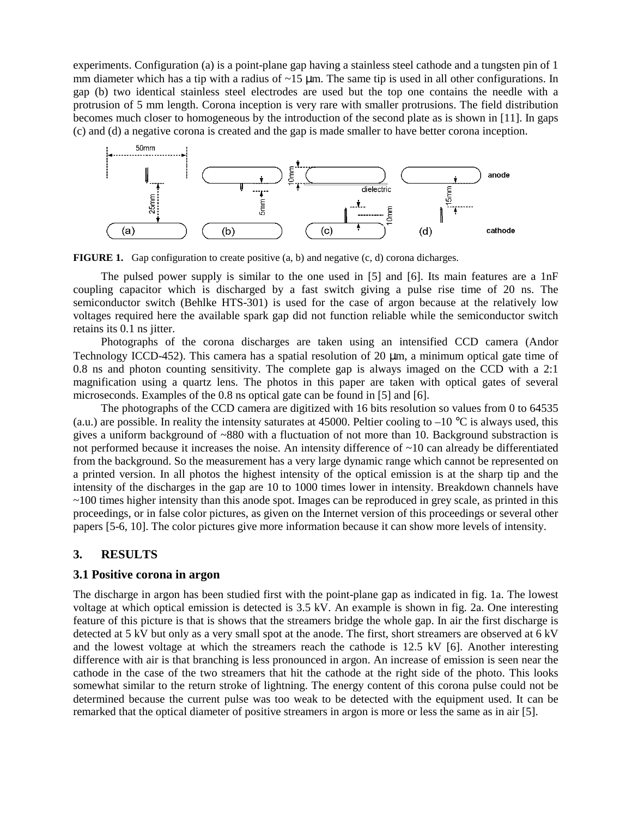experiments. Configuration (a) is a point-plane gap having a stainless steel cathode and a tungsten pin of 1 mm diameter which has a tip with a radius of  $\sim$ 15  $\mu$ m. The same tip is used in all other configurations. In gap (b) two identical stainless steel electrodes are used but the top one contains the needle with a protrusion of 5 mm length. Corona inception is very rare with smaller protrusions. The field distribution becomes much closer to homogeneous by the introduction of the second plate as is shown in [11]. In gaps (c) and (d) a negative corona is created and the gap is made smaller to have better corona inception.



**FIGURE 1.** Gap configuration to create positive (a, b) and negative (c, d) corona dicharges.

 The pulsed power supply is similar to the one used in [5] and [6]. Its main features are a 1nF coupling capacitor which is discharged by a fast switch giving a pulse rise time of 20 ns. The semiconductor switch (Behlke HTS-301) is used for the case of argon because at the relatively low voltages required here the available spark gap did not function reliable while the semiconductor switch retains its 0.1 ns jitter.

 Photographs of the corona discharges are taken using an intensified CCD camera (Andor Technology ICCD-452). This camera has a spatial resolution of 20  $\mu$ m, a minimum optical gate time of 0.8 ns and photon counting sensitivity. The complete gap is always imaged on the CCD with a 2:1 magnification using a quartz lens. The photos in this paper are taken with optical gates of several microseconds. Examples of the 0.8 ns optical gate can be found in [5] and [6].

 The photographs of the CCD camera are digitized with 16 bits resolution so values from 0 to 64535 (a.u.) are possible. In reality the intensity saturates at 45000. Peltier cooling to  $-10^{\circ}$ C is always used, this gives a uniform background of ~880 with a fluctuation of not more than 10. Background substraction is not performed because it increases the noise. An intensity difference of ~10 can already be differentiated from the background. So the measurement has a very large dynamic range which cannot be represented on a printed version. In all photos the highest intensity of the optical emission is at the sharp tip and the intensity of the discharges in the gap are 10 to 1000 times lower in intensity. Breakdown channels have ~100 times higher intensity than this anode spot. Images can be reproduced in grey scale, as printed in this proceedings, or in false color pictures, as given on the Internet version of this proceedings or several other papers [5-6, 10]. The color pictures give more information because it can show more levels of intensity.

## **3. RESULTS**

### **3.1 Positive corona in argon**

The discharge in argon has been studied first with the point-plane gap as indicated in fig. 1a. The lowest voltage at which optical emission is detected is 3.5 kV. An example is shown in fig. 2a. One interesting feature of this picture is that is shows that the streamers bridge the whole gap. In air the first discharge is detected at 5 kV but only as a very small spot at the anode. The first, short streamers are observed at 6 kV and the lowest voltage at which the streamers reach the cathode is 12.5 kV [6]. Another interesting difference with air is that branching is less pronounced in argon. An increase of emission is seen near the cathode in the case of the two streamers that hit the cathode at the right side of the photo. This looks somewhat similar to the return stroke of lightning. The energy content of this corona pulse could not be determined because the current pulse was too weak to be detected with the equipment used. It can be remarked that the optical diameter of positive streamers in argon is more or less the same as in air [5].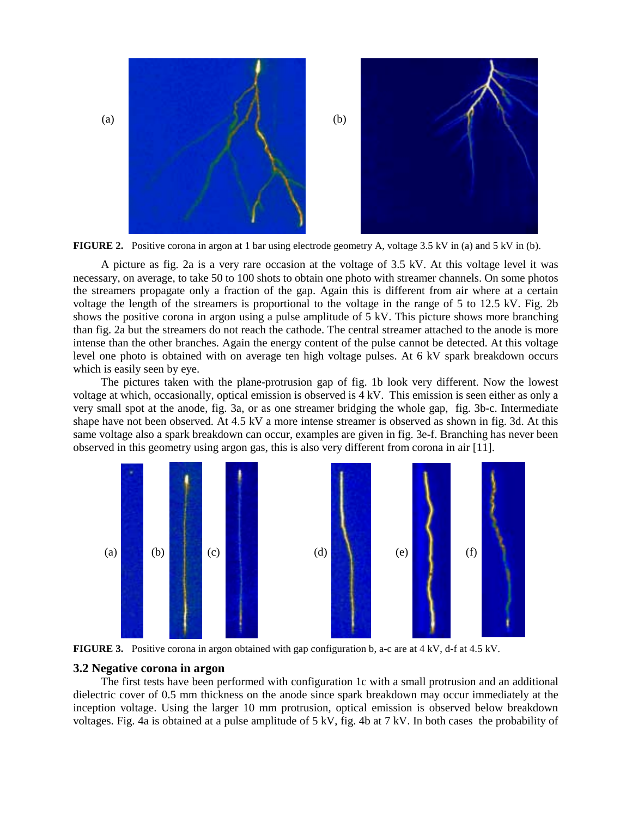

**FIGURE 2.** Positive corona in argon at 1 bar using electrode geometry A, voltage 3.5 kV in (a) and 5 kV in (b).

 A picture as fig. 2a is a very rare occasion at the voltage of 3.5 kV. At this voltage level it was necessary, on average, to take 50 to 100 shots to obtain one photo with streamer channels. On some photos the streamers propagate only a fraction of the gap. Again this is different from air where at a certain voltage the length of the streamers is proportional to the voltage in the range of 5 to 12.5 kV. Fig. 2b shows the positive corona in argon using a pulse amplitude of 5 kV. This picture shows more branching than fig. 2a but the streamers do not reach the cathode. The central streamer attached to the anode is more intense than the other branches. Again the energy content of the pulse cannot be detected. At this voltage level one photo is obtained with on average ten high voltage pulses. At 6 kV spark breakdown occurs which is easily seen by eye.

 The pictures taken with the plane-protrusion gap of fig. 1b look very different. Now the lowest voltage at which, occasionally, optical emission is observed is 4 kV. This emission is seen either as only a very small spot at the anode, fig. 3a, or as one streamer bridging the whole gap, fig. 3b-c. Intermediate shape have not been observed. At 4.5 kV a more intense streamer is observed as shown in fig. 3d. At this same voltage also a spark breakdown can occur, examples are given in fig. 3e-f. Branching has never been observed in this geometry using argon gas, this is also very different from corona in air [11].



**FIGURE 3.** Positive corona in argon obtained with gap configuration b, a-c are at 4 kV, d-f at 4.5 kV.

#### **3.2 Negative corona in argon**

 The first tests have been performed with configuration 1c with a small protrusion and an additional dielectric cover of 0.5 mm thickness on the anode since spark breakdown may occur immediately at the inception voltage. Using the larger 10 mm protrusion, optical emission is observed below breakdown voltages. Fig. 4a is obtained at a pulse amplitude of 5 kV, fig. 4b at 7 kV. In both cases the probability of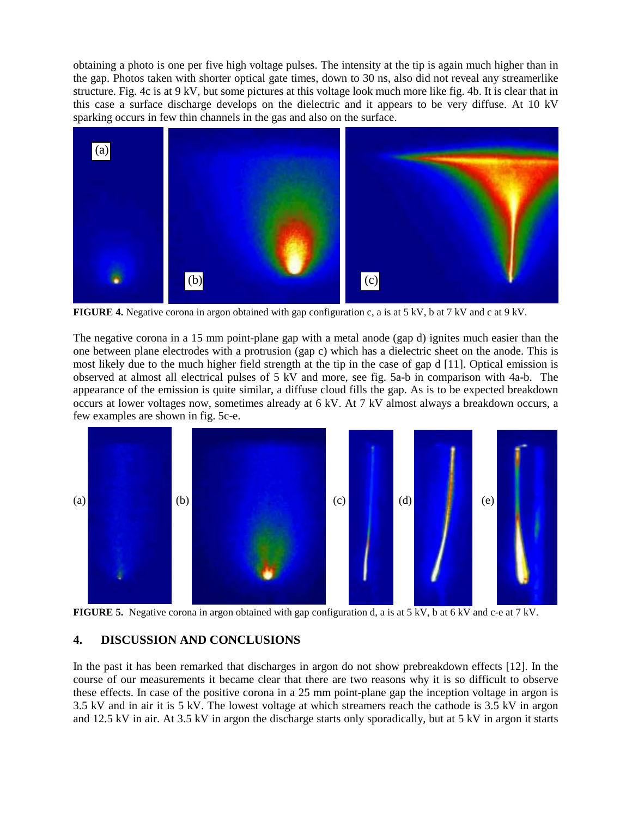obtaining a photo is one per five high voltage pulses. The intensity at the tip is again much higher than in the gap. Photos taken with shorter optical gate times, down to 30 ns, also did not reveal any streamerlike structure. Fig. 4c is at 9 kV, but some pictures at this voltage look much more like fig. 4b. It is clear that in this case a surface discharge develops on the dielectric and it appears to be very diffuse. At 10 kV sparking occurs in few thin channels in the gas and also on the surface.



**FIGURE 4.** Negative corona in argon obtained with gap configuration c, a is at 5 kV, b at 7 kV and c at 9 kV.

The negative corona in a 15 mm point-plane gap with a metal anode (gap d) ignites much easier than the one between plane electrodes with a protrusion (gap c) which has a dielectric sheet on the anode. This is most likely due to the much higher field strength at the tip in the case of gap d [11]. Optical emission is observed at almost all electrical pulses of 5 kV and more, see fig. 5a-b in comparison with 4a-b. The appearance of the emission is quite similar, a diffuse cloud fills the gap. As is to be expected breakdown occurs at lower voltages now, sometimes already at 6 kV. At 7 kV almost always a breakdown occurs, a few examples are shown in fig. 5c-e.



**FIGURE 5.** Negative corona in argon obtained with gap configuration d, a is at 5 kV, b at 6 kV and c-e at 7 kV.

## **4. DISCUSSION AND CONCLUSIONS**

In the past it has been remarked that discharges in argon do not show prebreakdown effects [12]. In the course of our measurements it became clear that there are two reasons why it is so difficult to observe these effects. In case of the positive corona in a 25 mm point-plane gap the inception voltage in argon is 3.5 kV and in air it is 5 kV. The lowest voltage at which streamers reach the cathode is 3.5 kV in argon and 12.5 kV in air. At 3.5 kV in argon the discharge starts only sporadically, but at 5 kV in argon it starts